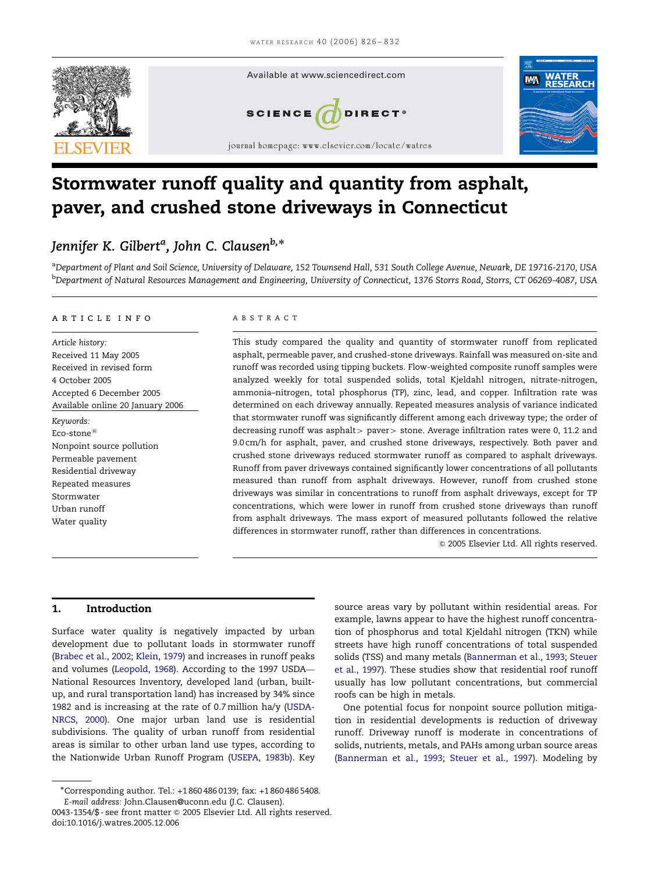

# Stormwater runoff quality and quantity from asphalt, paver, and crushed stone driveways in Connecticut

## Jennifer K. Gilbert<sup>a</sup>, John C. Clausen<sup>b,\*</sup>

<sup>a</sup>Department of Plant and Soil Science, University of Delaware, 152 Townsend Hall, 531 South College Avenue, Newark, DE 19716-2170, USA <sup>b</sup>Department of Natural Resources Management and Engineering, University of Connecticut, 1376 Storrs Road, Storrs, CT 06269-4087, USA

## article info

Article history: Received 11 May 2005 Received in revised form 4 October 2005 Accepted 6 December 2005 Available online 20 January 2006 Keywords: Eco-stone $^{\circledR}$ Nonpoint source pollution Permeable pavement Residential driveway Repeated measures Stormwater Urban runoff Water quality

#### ABSTRACT

This study compared the quality and quantity of stormwater runoff from replicated asphalt, permeable paver, and crushed-stone driveways. Rainfall was measured on-site and runoff was recorded using tipping buckets. Flow-weighted composite runoff samples were analyzed weekly for total suspended solids, total Kjeldahl nitrogen, nitrate-nitrogen, ammonia–nitrogen, total phosphorus (TP), zinc, lead, and copper. Infiltration rate was determined on each driveway annually. Repeated measures analysis of variance indicated that stormwater runoff was significantly different among each driveway type; the order of decreasing runoff was asphalt  $>$  paver $>$  stone. Average infiltration rates were 0, 11.2 and 9.0 cm/h for asphalt, paver, and crushed stone driveways, respectively. Both paver and crushed stone driveways reduced stormwater runoff as compared to asphalt driveways. Runoff from paver driveways contained significantly lower concentrations of all pollutants measured than runoff from asphalt driveways. However, runoff from crushed stone driveways was similar in concentrations to runoff from asphalt driveways, except for TP concentrations, which were lower in runoff from crushed stone driveways than runoff from asphalt driveways. The mass export of measured pollutants followed the relative differences in stormwater runoff, rather than differences in concentrations.

 $©$  2005 Elsevier Ltd. All rights reserved.

## 1. Introduction

Surface water quality is negatively impacted by urban development due to pollutant loads in stormwater runoff ([Brabec et al., 2002](#page-5-0); [Klein, 1979](#page-5-0)) and increases in runoff peaks and volumes [\(Leopold, 1968\)](#page-5-0). According to the 1997 USDA— National Resources Inventory, developed land (urban, builtup, and rural transportation land) has increased by 34% since 1982 and is increasing at the rate of 0.7 million ha/y ([USDA-](#page-6-0)[NRCS, 2000](#page-6-0)). One major urban land use is residential subdivisions. The quality of urban runoff from residential areas is similar to other urban land use types, according to the Nationwide Urban Runoff Program ([USEPA, 1983b](#page-6-0)). Key

source areas vary by pollutant within residential areas. For example, lawns appear to have the highest runoff concentration of phosphorus and total Kjeldahl nitrogen (TKN) while streets have high runoff concentrations of total suspended solids (TSS) and many metals [\(Bannerman et al., 1993;](#page-5-0) [Steuer](#page-6-0) [et al., 1997](#page-6-0)). These studies show that residential roof runoff usually has low pollutant concentrations, but commercial roofs can be high in metals.

One potential focus for nonpoint source pollution mitigation in residential developments is reduction of driveway runoff. Driveway runoff is moderate in concentrations of solids, nutrients, metals, and PAHs among urban source areas ([Bannerman et al., 1993;](#page-5-0) [Steuer et al., 1997](#page-6-0)). Modeling by

Corresponding author. Tel.: +1 860 486 0139; fax: +1 860 486 5408. E-mail address: John.Clausen@uconn.edu (J.C. Clausen).

<sup>0043-1354/\$ -</sup> see front matter © 2005 Elsevier Ltd. All rights reserved. doi:10.1016/j.watres.2005.12.006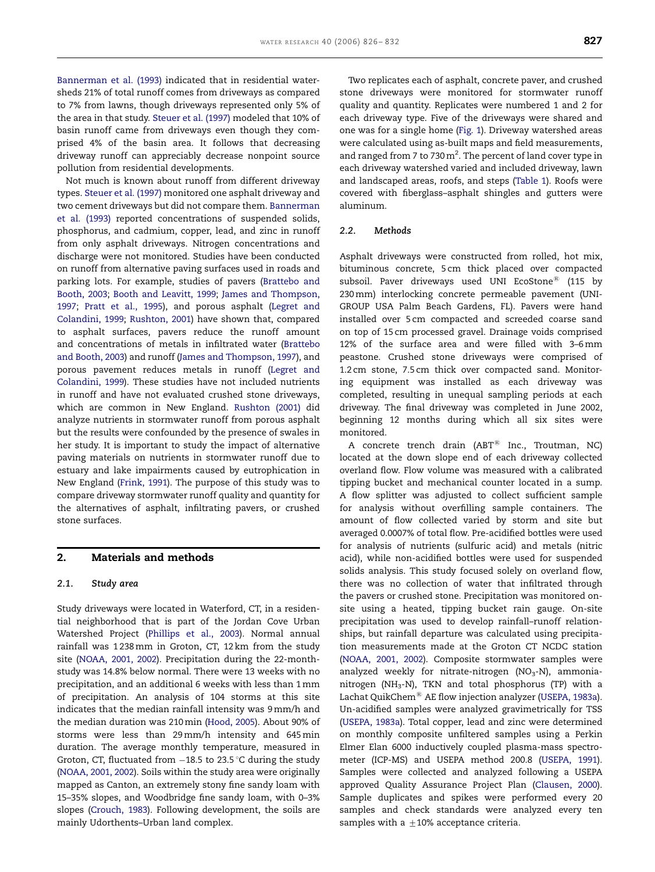[Bannerman et al. \(1993\)](#page-5-0) indicated that in residential watersheds 21% of total runoff comes from driveways as compared to 7% from lawns, though driveways represented only 5% of the area in that study. [Steuer et al. \(1997\)](#page-6-0) modeled that 10% of basin runoff came from driveways even though they comprised 4% of the basin area. It follows that decreasing driveway runoff can appreciably decrease nonpoint source pollution from residential developments.

Not much is known about runoff from different driveway types. [Steuer et al. \(1997\)](#page-6-0) monitored one asphalt driveway and two cement driveways but did not compare them. [Bannerman](#page-5-0) [et al. \(1993\)](#page-5-0) reported concentrations of suspended solids, phosphorus, and cadmium, copper, lead, and zinc in runoff from only asphalt driveways. Nitrogen concentrations and discharge were not monitored. Studies have been conducted on runoff from alternative paving surfaces used in roads and parking lots. For example, studies of pavers [\(Brattebo and](#page-5-0) [Booth, 2003;](#page-5-0) [Booth and Leavitt, 1999](#page-5-0); [James and Thompson,](#page-5-0) [1997](#page-5-0); [Pratt et al., 1995\)](#page-6-0), and porous asphalt [\(Legret and](#page-5-0) [Colandini, 1999;](#page-5-0) [Rushton, 2001\)](#page-6-0) have shown that, compared to asphalt surfaces, pavers reduce the runoff amount and concentrations of metals in infiltrated water [\(Brattebo](#page-5-0) [and Booth, 2003](#page-5-0)) and runoff [\(James and Thompson, 1997](#page-5-0)), and porous pavement reduces metals in runoff [\(Legret and](#page-5-0) [Colandini, 1999\)](#page-5-0). These studies have not included nutrients in runoff and have not evaluated crushed stone driveways, which are common in New England. [Rushton \(2001\)](#page-6-0) did analyze nutrients in stormwater runoff from porous asphalt but the results were confounded by the presence of swales in her study. It is important to study the impact of alternative paving materials on nutrients in stormwater runoff due to estuary and lake impairments caused by eutrophication in New England [\(Frink, 1991](#page-5-0)). The purpose of this study was to compare driveway stormwater runoff quality and quantity for the alternatives of asphalt, infiltrating pavers, or crushed stone surfaces.

#### 2. Materials and methods

#### 2.1. Study area

Study driveways were located in Waterford, CT, in a residential neighborhood that is part of the Jordan Cove Urban Watershed Project ([Phillips et al., 2003\)](#page-6-0). Normal annual rainfall was 1 238 mm in Groton, CT, 12 km from the study site ([NOAA, 2001, 2002](#page-6-0)). Precipitation during the 22-monthstudy was 14.8% below normal. There were 13 weeks with no precipitation, and an additional 6 weeks with less than 1 mm of precipitation. An analysis of 104 storms at this site indicates that the median rainfall intensity was 9 mm/h and the median duration was 210 min ([Hood, 2005\)](#page-5-0). About 90% of storms were less than 29 mm/h intensity and 645 min duration. The average monthly temperature, measured in Groton, CT, fluctuated from -18.5 to 23.5 °C during the study [\(NOAA, 2001, 2002\)](#page-6-0). Soils within the study area were originally mapped as Canton, an extremely stony fine sandy loam with 15–35% slopes, and Woodbridge fine sandy loam, with 0–3% slopes ([Crouch, 1983](#page-5-0)). Following development, the soils are mainly Udorthents–Urban land complex.

Two replicates each of asphalt, concrete paver, and crushed stone driveways were monitored for stormwater runoff quality and quantity. Replicates were numbered 1 and 2 for each driveway type. Five of the driveways were shared and one was for a single home [\(Fig. 1\)](#page-2-0). Driveway watershed areas were calculated using as-built maps and field measurements, and ranged from 7 to 730 $m^2$ . The percent of land cover type in each driveway watershed varied and included driveway, lawn and landscaped areas, roofs, and steps ([Table 1\)](#page-2-0). Roofs were covered with fiberglass–asphalt shingles and gutters were aluminum.

#### 2.2. Methods

Asphalt driveways were constructed from rolled, hot mix, bituminous concrete, 5 cm thick placed over compacted subsoil. Paver driveways used UNI EcoStone $^{\circledR}$  (115 by 230 mm) interlocking concrete permeable pavement (UNI-GROUP USA Palm Beach Gardens, FL). Pavers were hand installed over 5 cm compacted and screeded coarse sand on top of 15 cm processed gravel. Drainage voids comprised 12% of the surface area and were filled with 3–6 mm peastone. Crushed stone driveways were comprised of 1.2 cm stone, 7.5 cm thick over compacted sand. Monitoring equipment was installed as each driveway was completed, resulting in unequal sampling periods at each driveway. The final driveway was completed in June 2002, beginning 12 months during which all six sites were monitored.

A concrete trench drain  $(ABT^{@}$  Inc., Troutman, NC) located at the down slope end of each driveway collected overland flow. Flow volume was measured with a calibrated tipping bucket and mechanical counter located in a sump. A flow splitter was adjusted to collect sufficient sample for analysis without overfilling sample containers. The amount of flow collected varied by storm and site but averaged 0.0007% of total flow. Pre-acidified bottles were used for analysis of nutrients (sulfuric acid) and metals (nitric acid), while non-acidified bottles were used for suspended solids analysis. This study focused solely on overland flow, there was no collection of water that infiltrated through the pavers or crushed stone. Precipitation was monitored onsite using a heated, tipping bucket rain gauge. On-site precipitation was used to develop rainfall–runoff relationships, but rainfall departure was calculated using precipitation measurements made at the Groton CT NCDC station [\(NOAA, 2001, 2002\)](#page-6-0). Composite stormwater samples were analyzed weekly for nitrate-nitrogen ( $NO<sub>3</sub>$ -N), ammonianitrogen (NH<sub>3</sub>-N), TKN and total phosphorus (TP) with a Lachat QuikChem® AE flow injection analyzer ([USEPA, 1983a](#page-6-0)). Un-acidified samples were analyzed gravimetrically for TSS [\(USEPA, 1983a\)](#page-6-0). Total copper, lead and zinc were determined on monthly composite unfiltered samples using a Perkin Elmer Elan 6000 inductively coupled plasma-mass spectrometer (ICP-MS) and USEPA method 200.8 ([USEPA, 1991](#page-6-0)). Samples were collected and analyzed following a USEPA approved Quality Assurance Project Plan ([Clausen, 2000](#page-5-0)). Sample duplicates and spikes were performed every 20 samples and check standards were analyzed every ten samples with a  $\pm 10$ % acceptance criteria.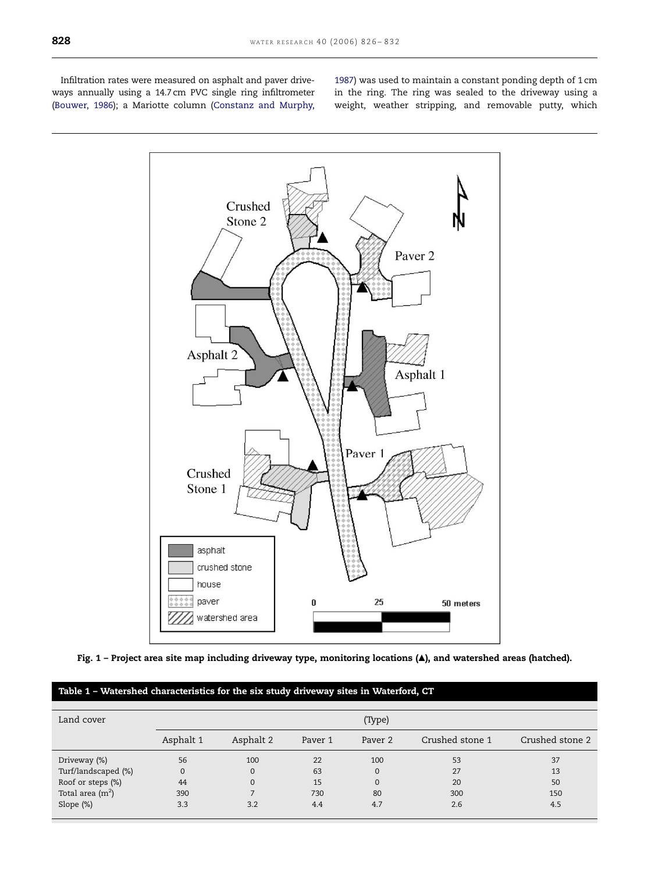<span id="page-2-0"></span>Infiltration rates were measured on asphalt and paver driveways annually using a 14.7 cm PVC single ring infiltrometer ([Bouwer, 1986\)](#page-5-0); a Mariotte column [\(Constanz and Murphy,](#page-5-0) [1987\)](#page-5-0) was used to maintain a constant ponding depth of 1 cm in the ring. The ring was sealed to the driveway using a weight, weather stripping, and removable putty, which



Fig. 1 – Project area site map including driveway type, monitoring locations (*m*), and watershed areas (hatched).

## Table 1 – Watershed characteristics for the six study driveway sites in Waterford, CT

| Land cover          | (Type)       |           |         |          |                 |                 |
|---------------------|--------------|-----------|---------|----------|-----------------|-----------------|
|                     | Asphalt 1    | Asphalt 2 | Paver 1 | Paver 2  | Crushed stone 1 | Crushed stone 2 |
| Driveway (%)        | 56           | 100       | 22      | 100      | 53              | 37              |
| Turf/landscaped (%) | $\mathbf{0}$ | $\Omega$  | 63      | $\Omega$ | 27              | 13              |
| Roof or steps (%)   | 44           | 0         | 15      | $\Omega$ | 20              | 50              |
| Total area $(m2)$   | 390          |           | 730     | 80       | 300             | 150             |
| Slope (%)           | 3.3          | 3.2       | 4.4     | 4.7      | 2.6             | 4.5             |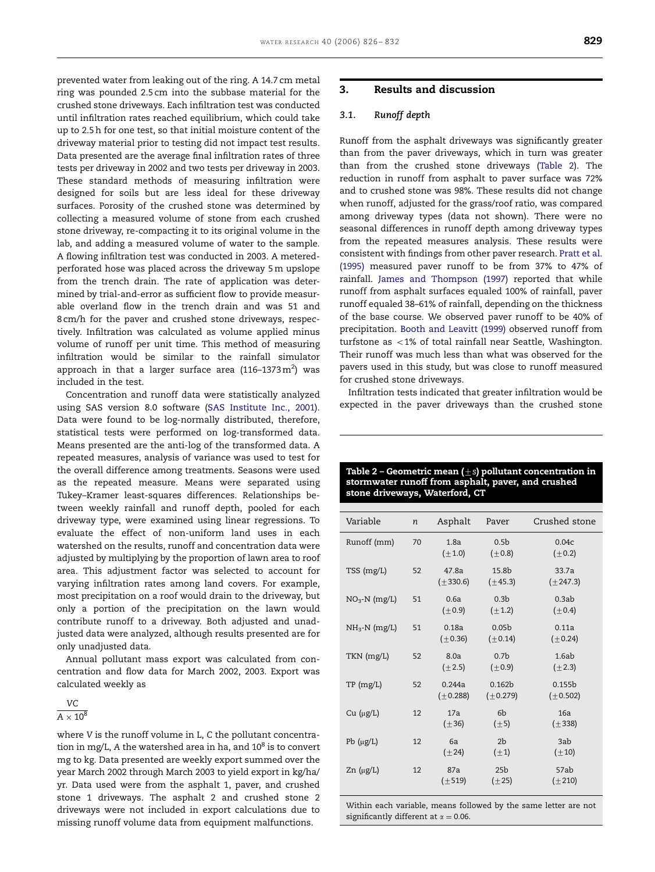<span id="page-3-0"></span>prevented water from leaking out of the ring. A 14.7 cm metal ring was pounded 2.5 cm into the subbase material for the crushed stone driveways. Each infiltration test was conducted until infiltration rates reached equilibrium, which could take up to 2.5 h for one test, so that initial moisture content of the driveway material prior to testing did not impact test results. Data presented are the average final infiltration rates of three tests per driveway in 2002 and two tests per driveway in 2003. These standard methods of measuring infiltration were designed for soils but are less ideal for these driveway surfaces. Porosity of the crushed stone was determined by collecting a measured volume of stone from each crushed stone driveway, re-compacting it to its original volume in the lab, and adding a measured volume of water to the sample. A flowing infiltration test was conducted in 2003. A meteredperforated hose was placed across the driveway 5 m upslope from the trench drain. The rate of application was determined by trial-and-error as sufficient flow to provide measurable overland flow in the trench drain and was 51 and 8 cm/h for the paver and crushed stone driveways, respectively. Infiltration was calculated as volume applied minus volume of runoff per unit time. This method of measuring infiltration would be similar to the rainfall simulator approach in that a larger surface area (116–1373 $\rm m^2)$  was included in the test.

Concentration and runoff data were statistically analyzed using SAS version 8.0 software [\(SAS Institute Inc., 2001](#page-6-0)). Data were found to be log-normally distributed, therefore, statistical tests were performed on log-transformed data. Means presented are the anti-log of the transformed data. A repeated measures, analysis of variance was used to test for the overall difference among treatments. Seasons were used as the repeated measure. Means were separated using Tukey–Kramer least-squares differences. Relationships between weekly rainfall and runoff depth, pooled for each driveway type, were examined using linear regressions. To evaluate the effect of non-uniform land uses in each watershed on the results, runoff and concentration data were adjusted by multiplying by the proportion of lawn area to roof area. This adjustment factor was selected to account for varying infiltration rates among land covers. For example, most precipitation on a roof would drain to the driveway, but only a portion of the precipitation on the lawn would contribute runoff to a driveway. Both adjusted and unadjusted data were analyzed, although results presented are for only unadjusted data.

Annual pollutant mass export was calculated from concentration and flow data for March 2002, 2003. Export was calculated weekly as

## VC  $A \times 10^8$

where V is the runoff volume in L, C the pollutant concentration in mg/L, A the watershed area in ha, and  $10^8$  is to convert mg to kg. Data presented are weekly export summed over the year March 2002 through March 2003 to yield export in kg/ha/ yr. Data used were from the asphalt 1, paver, and crushed stone 1 driveways. The asphalt 2 and crushed stone 2 driveways were not included in export calculations due to missing runoff volume data from equipment malfunctions.

## 3. Results and discussion

#### 3.1. Runoff depth

Runoff from the asphalt driveways was significantly greater than from the paver driveways, which in turn was greater than from the crushed stone driveways (Table 2). The reduction in runoff from asphalt to paver surface was 72% and to crushed stone was 98%. These results did not change when runoff, adjusted for the grass/roof ratio, was compared among driveway types (data not shown). There were no seasonal differences in runoff depth among driveway types from the repeated measures analysis. These results were consistent with findings from other paver research. [Pratt et al.](#page-6-0) [\(1995\)](#page-6-0) measured paver runoff to be from 37% to 47% of rainfall. [James and Thompson \(1997\)](#page-5-0) reported that while runoff from asphalt surfaces equaled 100% of rainfall, paver runoff equaled 38–61% of rainfall, depending on the thickness of the base course. We observed paver runoff to be 40% of precipitation. [Booth and Leavitt \(1999\)](#page-5-0) observed runoff from turfstone as  $\langle 1\%$  of total rainfall near Seattle, Washington. Their runoff was much less than what was observed for the pavers used in this study, but was close to runoff measured for crushed stone driveways.

Infiltration tests indicated that greater infiltration would be expected in the paver driveways than the crushed stone

|                   | .,               |                         |                                     |                                     |
|-------------------|------------------|-------------------------|-------------------------------------|-------------------------------------|
| Variable          | $\boldsymbol{n}$ | Asphalt                 | Paver                               | Crushed stone                       |
| Runoff (mm)       | 70               | 1.8a<br>$(\pm 1.0)$     | 0.5 <sub>b</sub><br>$(\pm 0.8)$     | 0.04c<br>$(\pm 0.2)$                |
| TSS (mg/L)        | 52               | 47.8a<br>$(\pm 330.6)$  | 15.8b<br>$(\pm 45.3)$               | 33.7a<br>$(\pm 247.3)$              |
| $NO3~N$ (mg/L)    | 51               | 0.6a<br>$(\pm 0.9)$     | 0.3 <sub>b</sub><br>$(\pm 1.2)$     | 0.3ab<br>$(\pm 0.4)$                |
| $NH_3-N$ (mg/L)   | 51               | 0.18a<br>$(\pm 0.36)$   | 0.05 <sub>b</sub><br>$(\pm 0.14)$   | 0.11a<br>$(\pm 0.24)$               |
| TKN (mg/L)        | 52               | 8.0a<br>$(\pm 2.5)$     | 0.7 <sub>b</sub><br>$(\pm 0.9)$     | 1.6ab<br>$(\pm 2.3)$                |
| TP(mg/L)          | 52               | 0.244a<br>$(\pm 0.288)$ | 0.162 <sub>b</sub><br>$(\pm 0.279)$ | 0.155 <sub>b</sub><br>$(\pm 0.502)$ |
| $Cu$ ( $\mu$ g/L) | 12               | 17a<br>$(\pm 36)$       | 6b<br>$(\pm 5)$                     | 16a<br>$(\pm 338)$                  |
| Pb $(\mu g/L)$    | 12               | 6a<br>$(\pm 24)$        | 2 <sub>b</sub><br>$(\pm 1)$         | 3ab<br>$(\pm 10)$                   |
| $Zn (\mu g/L)$    | 12               | 87a<br>$(\pm 519)$      | 25 <sub>b</sub><br>$(\pm 25)$       | 57ab<br>$(\pm 210)$                 |

Within each variable, means followed by the same letter are not significantly different at  $\alpha = 0.06$ .

| Table 2 – Geometric mean ( $\pm$ s) pollutant concentration in |
|----------------------------------------------------------------|
| stormwater runoff from asphalt, paver, and crushed             |
| stone driveways, Waterford, CT                                 |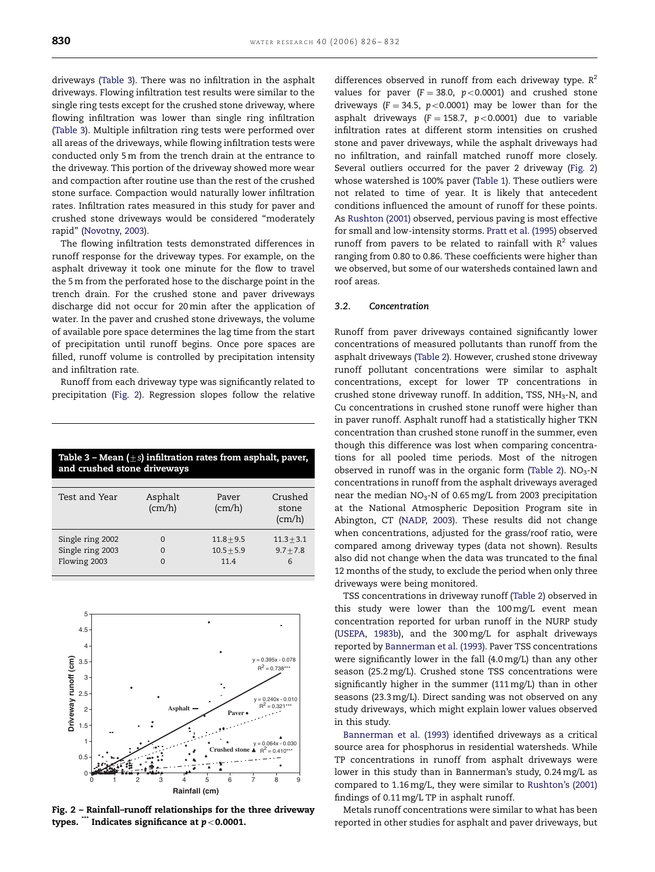driveways (Table 3). There was no infiltration in the asphalt driveways. Flowing infiltration test results were similar to the single ring tests except for the crushed stone driveway, where flowing infiltration was lower than single ring infiltration (Table 3). Multiple infiltration ring tests were performed over all areas of the driveways, while flowing infiltration tests were conducted only 5 m from the trench drain at the entrance to the driveway. This portion of the driveway showed more wear and compaction after routine use than the rest of the crushed stone surface. Compaction would naturally lower infiltration rates. Infiltration rates measured in this study for paver and crushed stone driveways would be considered ''moderately rapid'' [\(Novotny, 2003](#page-6-0)).

The flowing infiltration tests demonstrated differences in runoff response for the driveway types. For example, on the asphalt driveway it took one minute for the flow to travel the 5 m from the perforated hose to the discharge point in the trench drain. For the crushed stone and paver driveways discharge did not occur for 20 min after the application of water. In the paver and crushed stone driveways, the volume of available pore space determines the lag time from the start of precipitation until runoff begins. Once pore spaces are filled, runoff volume is controlled by precipitation intensity and infiltration rate.

Runoff from each driveway type was significantly related to precipitation (Fig. 2). Regression slopes follow the relative

| Table 3 – Mean $(\pm s)$ infiltration rates from asphalt, paver,<br>and crushed stone driveways |                      |                                      |                                  |  |
|-------------------------------------------------------------------------------------------------|----------------------|--------------------------------------|----------------------------------|--|
| Test and Year                                                                                   | Asphalt<br>(cm/h)    | Payer<br>(cm/h)                      | Crushed<br>stone<br>(cm/h)       |  |
| Single ring 2002<br>Single ring 2003<br>Flowing 2003                                            | $\Omega$<br>$\Omega$ | $11.8 + 9.5$<br>$10.5 + 5.9$<br>11.4 | $11.3 + 3.1$<br>$9.7 + 7.8$<br>6 |  |



Fig. 2 – Rainfall–runoff relationships for the three driveway types.  $\dddot{m}$  Indicates significance at  $p < 0.0001$ .

differences observed in runoff from each driveway type.  $R^2$ values for paver ( $F = 38.0$ ,  $p < 0.0001$ ) and crushed stone driveways ( $F = 34.5$ ,  $p < 0.0001$ ) may be lower than for the asphalt driveways (F = 158.7,  $p < 0.0001$ ) due to variable infiltration rates at different storm intensities on crushed stone and paver driveways, while the asphalt driveways had no infiltration, and rainfall matched runoff more closely. Several outliers occurred for the paver 2 driveway (Fig. 2) whose watershed is 100% paver [\(Table 1\)](#page-2-0). These outliers were not related to time of year. It is likely that antecedent conditions influenced the amount of runoff for these points. As [Rushton \(2001\)](#page-6-0) observed, pervious paving is most effective for small and low-intensity storms. [Pratt et al. \(1995\)](#page-6-0) observed runoff from pavers to be related to rainfall with  $R^2$  values ranging from 0.80 to 0.86. These coefficients were higher than we observed, but some of our watersheds contained lawn and roof areas.

## 3.2. Concentration

Runoff from paver driveways contained significantly lower concentrations of measured pollutants than runoff from the asphalt driveways [\(Table 2](#page-3-0)). However, crushed stone driveway runoff pollutant concentrations were similar to asphalt concentrations, except for lower TP concentrations in crushed stone driveway runoff. In addition, TSS,  $NH<sub>3</sub>-N$ , and Cu concentrations in crushed stone runoff were higher than in paver runoff. Asphalt runoff had a statistically higher TKN concentration than crushed stone runoff in the summer, even though this difference was lost when comparing concentrations for all pooled time periods. Most of the nitrogen observed in runoff was in the organic form [\(Table 2](#page-3-0)).  $NO<sub>3</sub>$ -N concentrations in runoff from the asphalt driveways averaged near the median NO<sub>3</sub>-N of 0.65 mg/L from 2003 precipitation at the National Atmospheric Deposition Program site in Abington, CT [\(NADP, 2003](#page-5-0)). These results did not change when concentrations, adjusted for the grass/roof ratio, were compared among driveway types (data not shown). Results also did not change when the data was truncated to the final 12 months of the study, to exclude the period when only three driveways were being monitored.

TSS concentrations in driveway runoff ([Table 2\)](#page-3-0) observed in this study were lower than the 100 mg/L event mean concentration reported for urban runoff in the NURP study ([USEPA, 1983b](#page-6-0)), and the 300 mg/L for asphalt driveways reported by [Bannerman et al. \(1993\)](#page-5-0). Paver TSS concentrations were significantly lower in the fall (4.0 mg/L) than any other season (25.2 mg/L). Crushed stone TSS concentrations were significantly higher in the summer (111 mg/L) than in other seasons (23.3 mg/L). Direct sanding was not observed on any study driveways, which might explain lower values observed in this study.

[Bannerman et al. \(1993\)](#page-5-0) identified driveways as a critical source area for phosphorus in residential watersheds. While TP concentrations in runoff from asphalt driveways were lower in this study than in Bannerman's study, 0.24 mg/L as compared to 1.16 mg/L, they were similar to [Rushton's \(2001\)](#page-6-0) findings of 0.11 mg/L TP in asphalt runoff.

Metals runoff concentrations were similar to what has been reported in other studies for asphalt and paver driveways, but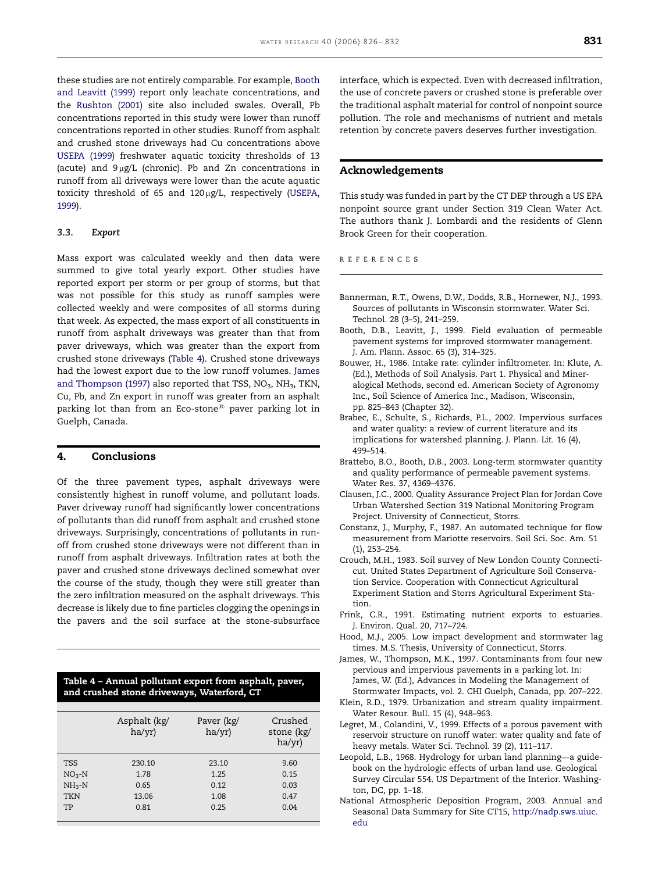<span id="page-5-0"></span>these studies are not entirely comparable. For example, Booth and Leavitt (1999) report only leachate concentrations, and the [Rushton \(2001\)](#page-6-0) site also included swales. Overall, Pb concentrations reported in this study were lower than runoff concentrations reported in other studies. Runoff from asphalt and crushed stone driveways had Cu concentrations above [USEPA \(1999\)](#page-6-0) freshwater aquatic toxicity thresholds of 13 (acute) and  $9 \mu g/L$  (chronic). Pb and Zn concentrations in runoff from all driveways were lower than the acute aquatic toxicity threshold of 65 and 120µg/L, respectively ([USEPA,](#page-6-0) [1999](#page-6-0)).

#### 3.3. Export

Mass export was calculated weekly and then data were summed to give total yearly export. Other studies have reported export per storm or per group of storms, but that was not possible for this study as runoff samples were collected weekly and were composites of all storms during that week. As expected, the mass export of all constituents in runoff from asphalt driveways was greater than that from paver driveways, which was greater than the export from crushed stone driveways (Table 4). Crushed stone driveways had the lowest export due to the low runoff volumes. James and Thompson (1997) also reported that TSS,  $NO<sub>3</sub>$ ,  $NH<sub>3</sub>$ , TKN, Cu, Pb, and Zn export in runoff was greater from an asphalt parking lot than from an Eco-stone<sup>®</sup> paver parking lot in Guelph, Canada.

## 4. Conclusions

Of the three pavement types, asphalt driveways were consistently highest in runoff volume, and pollutant loads. Paver driveway runoff had significantly lower concentrations of pollutants than did runoff from asphalt and crushed stone driveways. Surprisingly, concentrations of pollutants in runoff from crushed stone driveways were not different than in runoff from asphalt driveways. Infiltration rates at both the paver and crushed stone driveways declined somewhat over the course of the study, though they were still greater than the zero infiltration measured on the asphalt driveways. This decrease is likely due to fine particles clogging the openings in the pavers and the soil surface at the stone-subsurface

### Table 4 – Annual pollutant export from asphalt, paver, and crushed stone driveways, Waterford, CT

|                                                | Asphalt (kg/<br>ha/yr)          | Paver (kg/<br>ha/yr)          | Crushed<br>stone (kg/<br>ha/yr) |
|------------------------------------------------|---------------------------------|-------------------------------|---------------------------------|
| <b>TSS</b><br>$NO3-N$<br>$NH3-N$<br><b>TKN</b> | 230.10<br>1.78<br>0.65<br>13.06 | 23.10<br>1.25<br>0.12<br>1.08 | 9.60<br>0.15<br>0.03<br>0.47    |
| TP                                             | 0.81                            | 0.25                          | 0.04                            |

interface, which is expected. Even with decreased infiltration, the use of concrete pavers or crushed stone is preferable over the traditional asphalt material for control of nonpoint source pollution. The role and mechanisms of nutrient and metals retention by concrete pavers deserves further investigation.

#### Acknowledgements

This study was funded in part by the CT DEP through a US EPA nonpoint source grant under Section 319 Clean Water Act. The authors thank J. Lombardi and the residents of Glenn Brook Green for their cooperation.

REFERENCES

- Bannerman, R.T., Owens, D.W., Dodds, R.B., Hornewer, N.J., 1993. Sources of pollutants in Wisconsin stormwater. Water Sci. Technol. 28 (3–5), 241–259.
- Booth, D.B., Leavitt, J., 1999. Field evaluation of permeable pavement systems for improved stormwater management. J. Am. Plann. Assoc. 65 (3), 314–325.
- Bouwer, H., 1986. Intake rate: cylinder infiltrometer. In: Klute, A. (Ed.), Methods of Soil Analysis. Part 1. Physical and Mineralogical Methods, second ed. American Society of Agronomy Inc., Soil Science of America Inc., Madison, Wisconsin, pp. 825–843 (Chapter 32).
- Brabec, E., Schulte, S., Richards, P.L., 2002. Impervious surfaces and water quality: a review of current literature and its implications for watershed planning. J. Plann. Lit. 16 (4), 499–514.
- Brattebo, B.O., Booth, D.B., 2003. Long-term stormwater quantity and quality performance of permeable pavement systems. Water Res. 37, 4369–4376.
- Clausen, J.C., 2000. Quality Assurance Project Plan for Jordan Cove Urban Watershed Section 319 National Monitoring Program Project. University of Connecticut, Storrs.
- Constanz, J., Murphy, F., 1987. An automated technique for flow measurement from Mariotte reservoirs. Soil Sci. Soc. Am. 51 (1), 253–254.
- Crouch, M.H., 1983. Soil survey of New London County Connecticut. United States Department of Agriculture Soil Conservation Service. Cooperation with Connecticut Agricultural Experiment Station and Storrs Agricultural Experiment Station.
- Frink, C.R., 1991. Estimating nutrient exports to estuaries. J. Environ. Qual. 20, 717–724.
- Hood, M.J., 2005. Low impact development and stormwater lag times. M.S. Thesis, University of Connecticut, Storrs.
- James, W., Thompson, M.K., 1997. Contaminants from four new pervious and impervious pavements in a parking lot. In: James, W. (Ed.), Advances in Modeling the Management of Stormwater Impacts, vol. 2. CHI Guelph, Canada, pp. 207–222.
- Klein, R.D., 1979. Urbanization and stream quality impairment. Water Resour. Bull. 15 (4), 948–963.
- Legret, M., Colandini, V., 1999. Effects of a porous pavement with reservoir structure on runoff water: water quality and fate of heavy metals. Water Sci. Technol. 39 (2), 111–117.
- Leopold, L.B., 1968. Hydrology for urban land planning—a guidebook on the hydrologic effects of urban land use. Geological Survey Circular 554. US Department of the Interior. Washington, DC, pp. 1–18.
- National Atmospheric Deposition Program, 2003. Annual and Seasonal Data Summary for Site CT15, [http://nadp.sws.uiuc.](http://nadp.sws.uiuc.edu) [edu](http://nadp.sws.uiuc.edu)